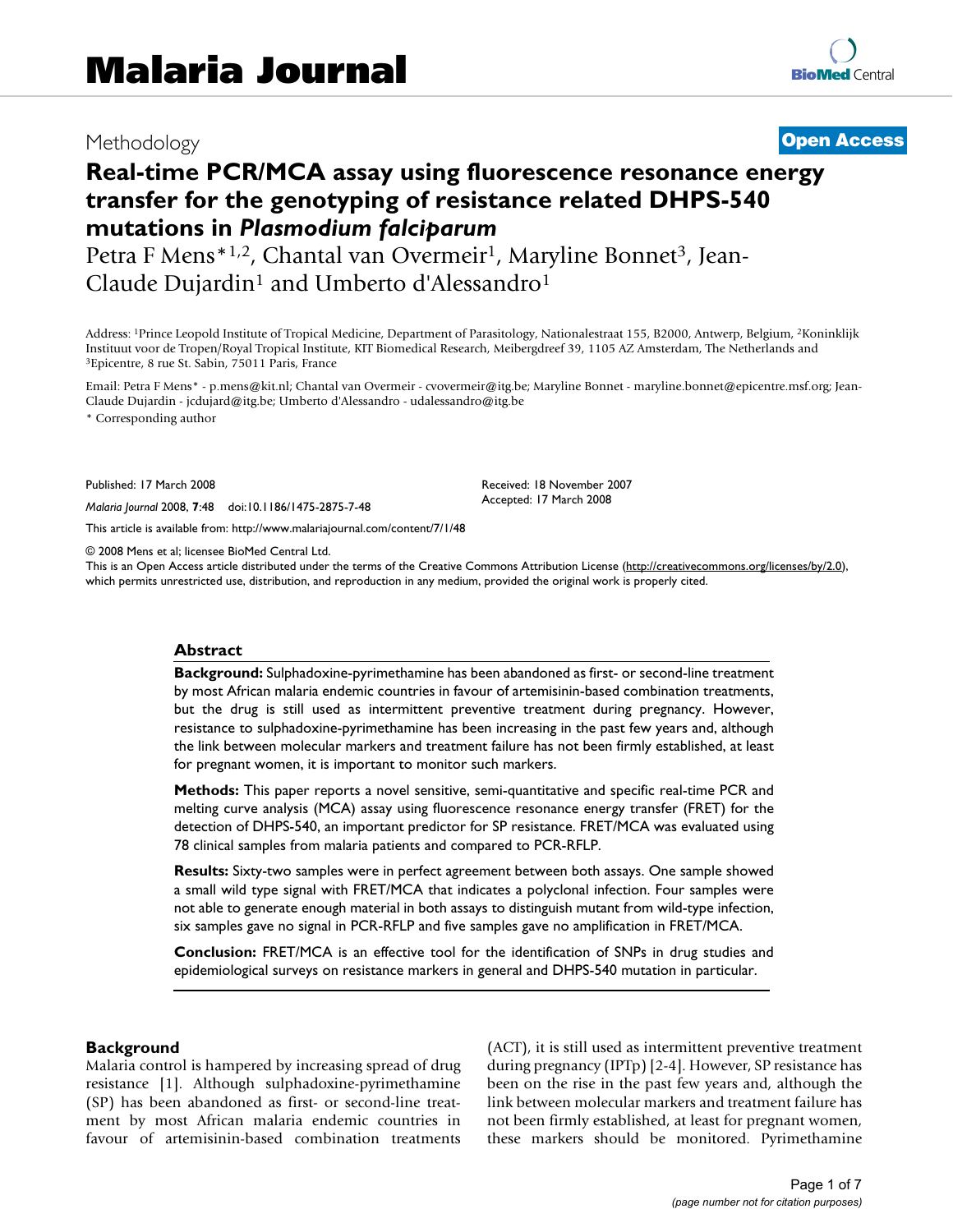# Methodology **[Open Access](http://www.biomedcentral.com/info/about/charter/)**

# **Real-time PCR/MCA assay using fluorescence resonance energy transfer for the genotyping of resistance related DHPS-540 mutations in** *Plasmodium falciparum*

Petra F Mens<sup>\*1,2</sup>, Chantal van Overmeir<sup>1</sup>, Maryline Bonnet<sup>3</sup>, Jean-Claude Dujardin<sup>1</sup> and Umberto d'Alessandro<sup>1</sup>

Address: 1Prince Leopold Institute of Tropical Medicine, Department of Parasitology, Nationalestraat 155, B2000, Antwerp, Belgium, 2Koninklijk Instituut voor de Tropen/Royal Tropical Institute, KIT Biomedical Research, Meibergdreef 39, 1105 AZ Amsterdam, The Netherlands and 3Epicentre, 8 rue St. Sabin, 75011 Paris, France

Email: Petra F Mens\* - p.mens@kit.nl; Chantal van Overmeir - cvovermeir@itg.be; Maryline Bonnet - maryline.bonnet@epicentre.msf.org; Jean-Claude Dujardin - jcdujard@itg.be; Umberto d'Alessandro - udalessandro@itg.be

> Received: 18 November 2007 Accepted: 17 March 2008

\* Corresponding author

Published: 17 March 2008

*Malaria Journal* 2008, **7**:48 doi:10.1186/1475-2875-7-48

[This article is available from: http://www.malariajournal.com/content/7/1/48](http://www.malariajournal.com/content/7/1/48)

© 2008 Mens et al; licensee BioMed Central Ltd.

This is an Open Access article distributed under the terms of the Creative Commons Attribution License [\(http://creativecommons.org/licenses/by/2.0\)](http://creativecommons.org/licenses/by/2.0), which permits unrestricted use, distribution, and reproduction in any medium, provided the original work is properly cited.

#### **Abstract**

**Background:** Sulphadoxine-pyrimethamine has been abandoned as first- or second-line treatment by most African malaria endemic countries in favour of artemisinin-based combination treatments, but the drug is still used as intermittent preventive treatment during pregnancy. However, resistance to sulphadoxine-pyrimethamine has been increasing in the past few years and, although the link between molecular markers and treatment failure has not been firmly established, at least for pregnant women, it is important to monitor such markers.

**Methods:** This paper reports a novel sensitive, semi-quantitative and specific real-time PCR and melting curve analysis (MCA) assay using fluorescence resonance energy transfer (FRET) for the detection of DHPS-540, an important predictor for SP resistance. FRET/MCA was evaluated using 78 clinical samples from malaria patients and compared to PCR-RFLP.

**Results:** Sixty-two samples were in perfect agreement between both assays. One sample showed a small wild type signal with FRET/MCA that indicates a polyclonal infection. Four samples were not able to generate enough material in both assays to distinguish mutant from wild-type infection, six samples gave no signal in PCR-RFLP and five samples gave no amplification in FRET/MCA.

**Conclusion:** FRET/MCA is an effective tool for the identification of SNPs in drug studies and epidemiological surveys on resistance markers in general and DHPS-540 mutation in particular.

#### **Background**

Malaria control is hampered by increasing spread of drug resistance [1]. Although sulphadoxine-pyrimethamine (SP) has been abandoned as first- or second-line treatment by most African malaria endemic countries in favour of artemisinin-based combination treatments (ACT), it is still used as intermittent preventive treatment during pregnancy (IPTp) [2-4]. However, SP resistance has been on the rise in the past few years and, although the link between molecular markers and treatment failure has not been firmly established, at least for pregnant women, these markers should be monitored. Pyrimethamine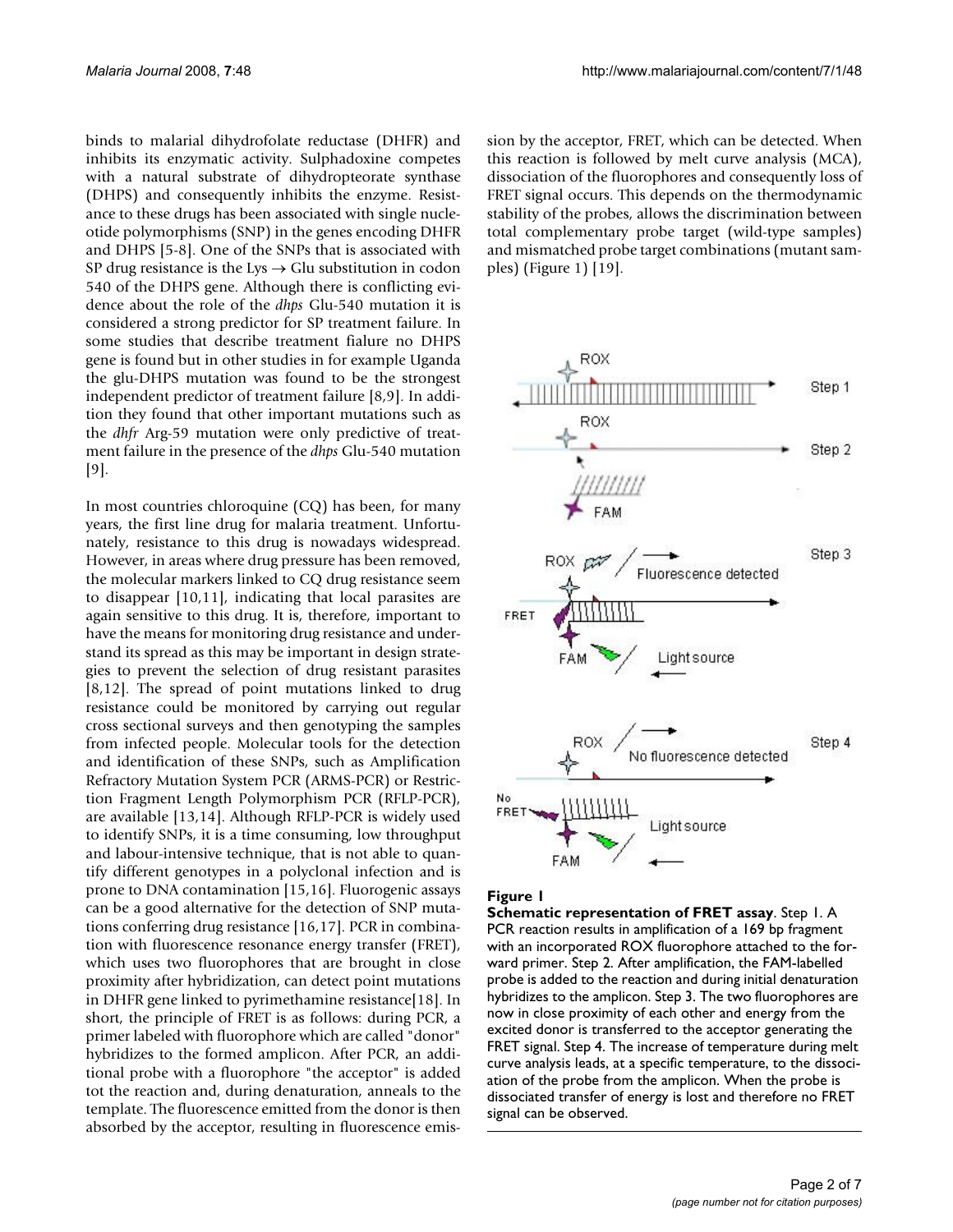binds to malarial dihydrofolate reductase (DHFR) and inhibits its enzymatic activity. Sulphadoxine competes with a natural substrate of dihydropteorate synthase (DHPS) and consequently inhibits the enzyme. Resistance to these drugs has been associated with single nucleotide polymorphisms (SNP) in the genes encoding DHFR and DHPS [5-8]. One of the SNPs that is associated with SP drug resistance is the Lys  $\rightarrow$  Glu substitution in codon 540 of the DHPS gene. Although there is conflicting evidence about the role of the *dhps* Glu-540 mutation it is considered a strong predictor for SP treatment failure. In some studies that describe treatment fialure no DHPS gene is found but in other studies in for example Uganda the glu-DHPS mutation was found to be the strongest independent predictor of treatment failure [8,9]. In addition they found that other important mutations such as the *dhfr* Arg-59 mutation were only predictive of treatment failure in the presence of the *dhps* Glu-540 mutation [9].

In most countries chloroquine (CQ) has been, for many years, the first line drug for malaria treatment. Unfortunately, resistance to this drug is nowadays widespread. However, in areas where drug pressure has been removed, the molecular markers linked to CQ drug resistance seem to disappear [10,11], indicating that local parasites are again sensitive to this drug. It is, therefore, important to have the means for monitoring drug resistance and understand its spread as this may be important in design strategies to prevent the selection of drug resistant parasites [8[,12](#page-6-0)]. The spread of point mutations linked to drug resistance could be monitored by carrying out regular cross sectional surveys and then genotyping the samples from infected people. Molecular tools for the detection and identification of these SNPs, such as Amplification Refractory Mutation System PCR (ARMS-PCR) or Restriction Fragment Length Polymorphism PCR (RFLP-PCR), are available [13[,14\]](#page-6-1). Although RFLP-PCR is widely used to identify SNPs, it is a time consuming, low throughput and labour-intensive technique, that is not able to quantify different genotypes in a polyclonal infection and is prone to DNA contamination [15,16]. Fluorogenic assays can be a good alternative for the detection of SNP mutations conferring drug resistance [16,17]. PCR in combination with fluorescence resonance energy transfer (FRET), which uses two fluorophores that are brought in close proximity after hybridization, can detect point mutations in DHFR gene linked to pyrimethamine resistance[18]. In short, the principle of FRET is as follows: during PCR, a primer labeled with fluorophore which are called "donor" hybridizes to the formed amplicon. After PCR, an additional probe with a fluorophore "the acceptor" is added tot the reaction and, during denaturation, anneals to the template. The fluorescence emitted from the donor is then absorbed by the acceptor, resulting in fluorescence emission by the acceptor, FRET, which can be detected. When this reaction is followed by melt curve analysis (MCA), dissociation of the fluorophores and consequently loss of FRET signal occurs. This depends on the thermodynamic stability of the probes, allows the discrimination between total complementary probe target (wild-type samples) and mismatched probe target combinations (mutant samples) (Figure 1) [19].



#### **Figure 1**

**Schematic representation of FRET assay**. Step 1. A PCR reaction results in amplification of a 169 bp fragment with an incorporated ROX fluorophore attached to the forward primer. Step 2. After amplification, the FAM-labelled probe is added to the reaction and during initial denaturation hybridizes to the amplicon. Step 3. The two fluorophores are now in close proximity of each other and energy from the excited donor is transferred to the acceptor generating the FRET signal. Step 4. The increase of temperature during melt curve analysis leads, at a specific temperature, to the dissociation of the probe from the amplicon. When the probe is dissociated transfer of energy is lost and therefore no FRET signal can be observed.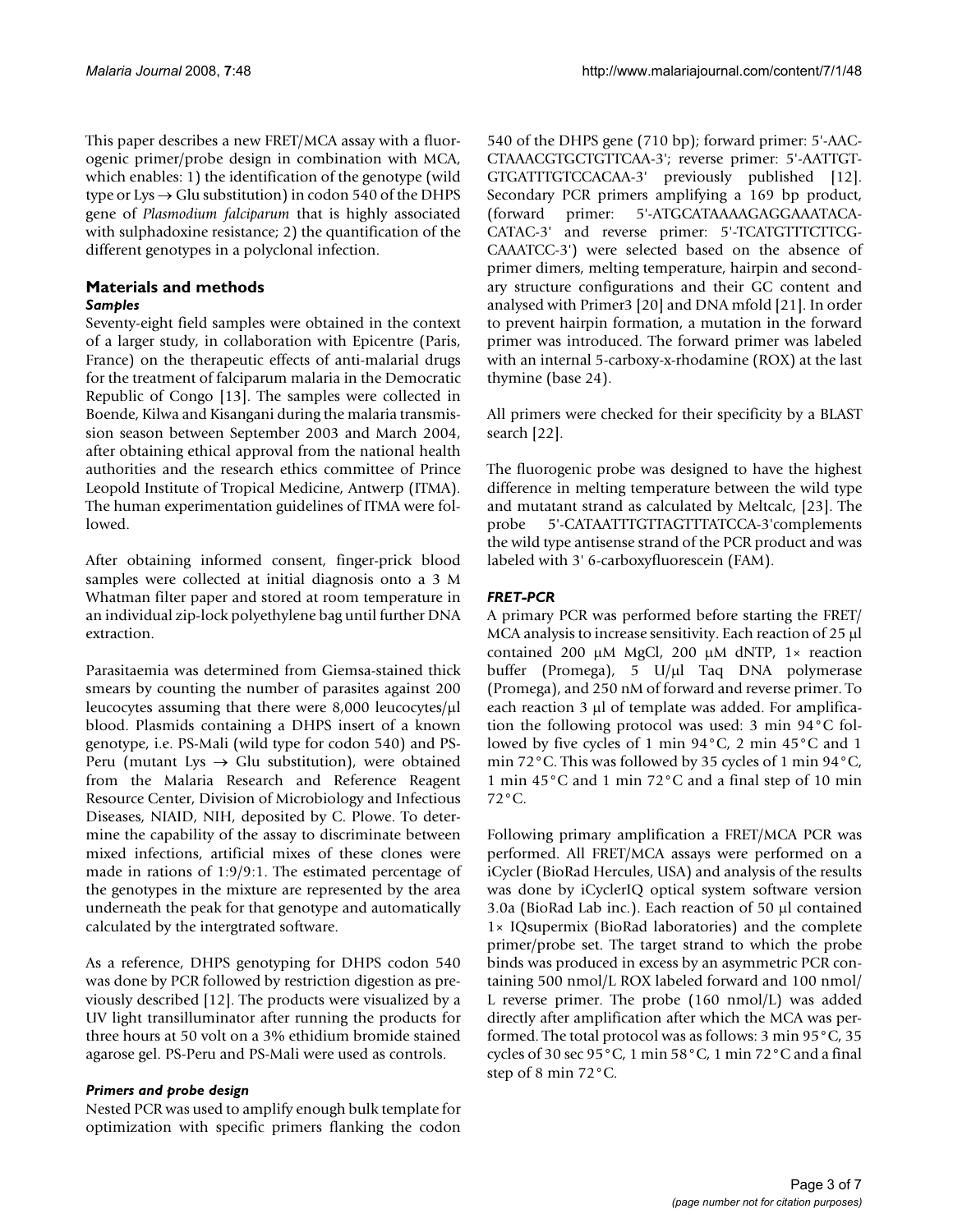This paper describes a new FRET/MCA assay with a fluorogenic primer/probe design in combination with MCA, which enables: 1) the identification of the genotype (wild type or Lys  $\rightarrow$  Glu substitution) in codon 540 of the DHPS gene of *Plasmodium falciparum* that is highly associated with sulphadoxine resistance; 2) the quantification of the different genotypes in a polyclonal infection.

# **Materials and methods**

### *Samples*

Seventy-eight field samples were obtained in the context of a larger study, in collaboration with Epicentre (Paris, France) on the therapeutic effects of anti-malarial drugs for the treatment of falciparum malaria in the Democratic Republic of Congo [13]. The samples were collected in Boende, Kilwa and Kisangani during the malaria transmission season between September 2003 and March 2004, after obtaining ethical approval from the national health authorities and the research ethics committee of Prince Leopold Institute of Tropical Medicine, Antwerp (ITMA). The human experimentation guidelines of ITMA were followed.

After obtaining informed consent, finger-prick blood samples were collected at initial diagnosis onto a 3 M Whatman filter paper and stored at room temperature in an individual zip-lock polyethylene bag until further DNA extraction.

Parasitaemia was determined from Giemsa-stained thick smears by counting the number of parasites against 200 leucocytes assuming that there were 8,000 leucocytes/μl blood. Plasmids containing a DHPS insert of a known genotype, i.e. PS-Mali (wild type for codon 540) and PS-Peru (mutant Lys  $\rightarrow$  Glu substitution), were obtained from the Malaria Research and Reference Reagent Resource Center, Division of Microbiology and Infectious Diseases, NIAID, NIH, deposited by C. Plowe. To determine the capability of the assay to discriminate between mixed infections, artificial mixes of these clones were made in rations of 1:9/9:1. The estimated percentage of the genotypes in the mixture are represented by the area underneath the peak for that genotype and automatically calculated by the intergtrated software.

As a reference, DHPS genotyping for DHPS codon 540 was done by PCR followed by restriction digestion as previously described [\[12\]](#page-6-0). The products were visualized by a UV light transilluminator after running the products for three hours at 50 volt on a 3% ethidium bromide stained agarose gel. PS-Peru and PS-Mali were used as controls.

### *Primers and probe design*

Nested PCR was used to amplify enough bulk template for optimization with specific primers flanking the codon 540 of the DHPS gene (710 bp); forward primer: 5'-AAC-CTAAACGTGCTGTTCAA-3'; reverse primer: 5'-AATTGT-GTGATTTGTCCACAA-3' previously published [\[12](#page-6-0)]. Secondary PCR primers amplifying a 169 bp product, (forward primer: 5'-ATGCATAAAAGAGGAAATACA-CATAC-3' and reverse primer: 5'-TCATGTTTCTTCG-CAAATCC-3') were selected based on the absence of primer dimers, melting temperature, hairpin and secondary structure configurations and their GC content and analysed with Primer3 [20] and DNA mfold [21]. In order to prevent hairpin formation, a mutation in the forward primer was introduced. The forward primer was labeled with an internal 5-carboxy-x-rhodamine (ROX) at the last thymine (base 24).

All primers were checked for their specificity by a BLAST search [22].

The fluorogenic probe was designed to have the highest difference in melting temperature between the wild type and mutatant strand as calculated by Meltcalc, [23]. The probe 5'-CATAATTTGTTAGTTTATCCA-3'complements the wild type antisense strand of the PCR product and was labeled with 3' 6-carboxyfluorescein (FAM).

### *FRET-PCR*

A primary PCR was performed before starting the FRET/ MCA analysis to increase sensitivity. Each reaction of 25 μl contained 200 μM MgCl, 200 μM dNTP, 1× reaction buffer (Promega), 5 U/μl Taq DNA polymerase (Promega), and 250 nM of forward and reverse primer. To each reaction 3 μl of template was added. For amplification the following protocol was used: 3 min 94°C followed by five cycles of 1 min 94°C, 2 min 45°C and 1 min 72°C. This was followed by 35 cycles of 1 min 94°C, 1 min 45°C and 1 min 72°C and a final step of 10 min 72°C.

Following primary amplification a FRET/MCA PCR was performed. All FRET/MCA assays were performed on a iCycler (BioRad Hercules, USA) and analysis of the results was done by iCyclerIQ optical system software version 3.0a (BioRad Lab inc.). Each reaction of 50 μl contained 1× IQsupermix (BioRad laboratories) and the complete primer/probe set. The target strand to which the probe binds was produced in excess by an asymmetric PCR containing 500 nmol/L ROX labeled forward and 100 nmol/ L reverse primer. The probe (160 nmol/L) was added directly after amplification after which the MCA was performed. The total protocol was as follows: 3 min 95°C, 35 cycles of 30 sec 95°C, 1 min 58°C, 1 min 72°C and a final step of 8 min 72°C.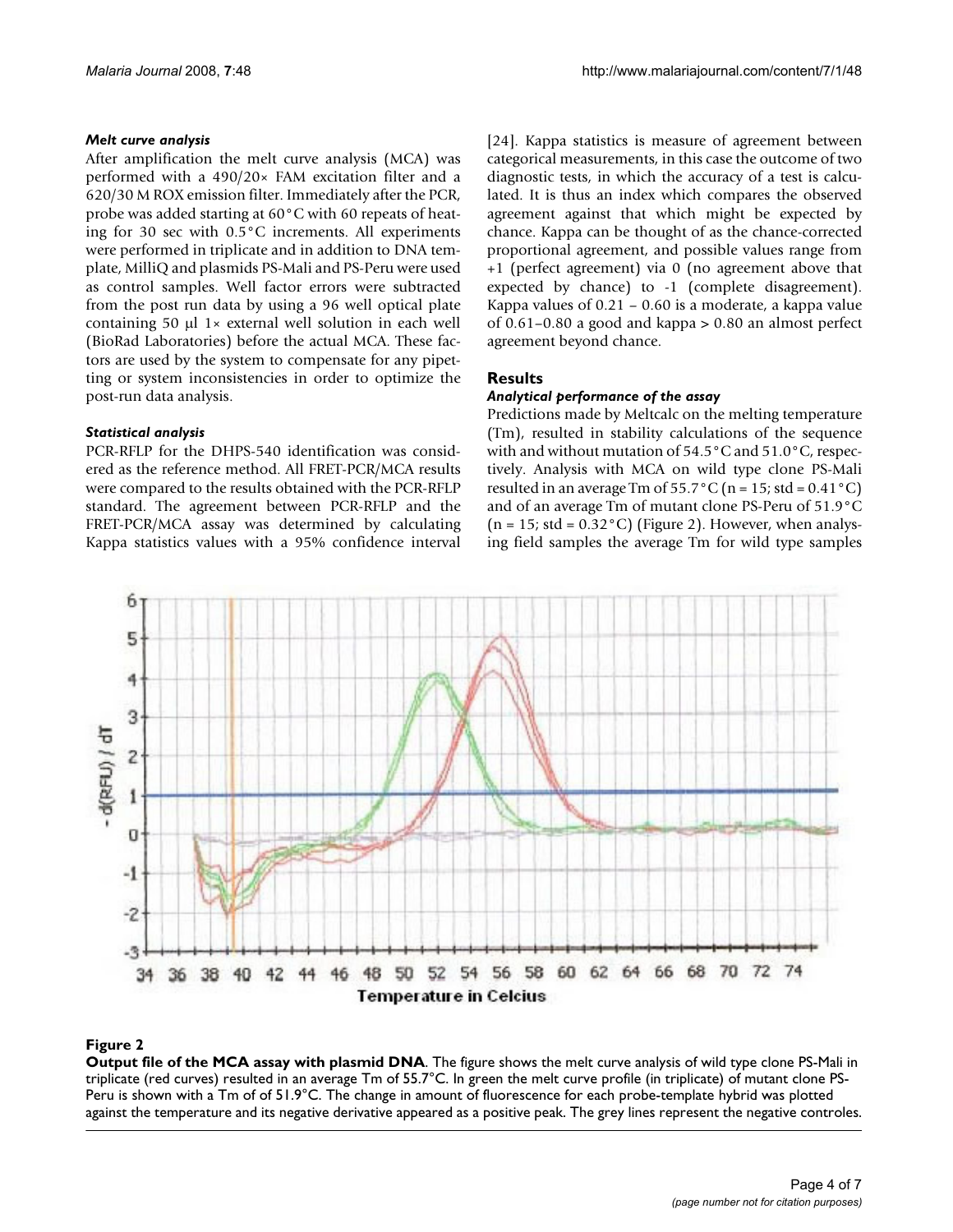#### *Melt curve analysis*

After amplification the melt curve analysis (MCA) was performed with a 490/20× FAM excitation filter and a 620/30 M ROX emission filter. Immediately after the PCR, probe was added starting at 60°C with 60 repeats of heating for 30 sec with 0.5°C increments. All experiments were performed in triplicate and in addition to DNA template, MilliQ and plasmids PS-Mali and PS-Peru were used as control samples. Well factor errors were subtracted from the post run data by using a 96 well optical plate containing 50 μl 1× external well solution in each well (BioRad Laboratories) before the actual MCA. These factors are used by the system to compensate for any pipetting or system inconsistencies in order to optimize the post-run data analysis.

#### *Statistical analysis*

PCR-RFLP for the DHPS-540 identification was considered as the reference method. All FRET-PCR/MCA results were compared to the results obtained with the PCR-RFLP standard. The agreement between PCR-RFLP and the FRET-PCR/MCA assay was determined by calculating Kappa statistics values with a 95% confidence interval [24]. Kappa statistics is measure of agreement between categorical measurements, in this case the outcome of two diagnostic tests, in which the accuracy of a test is calculated. It is thus an index which compares the observed agreement against that which might be expected by chance. Kappa can be thought of as the chance-corrected proportional agreement, and possible values range from +1 (perfect agreement) via 0 (no agreement above that expected by chance) to -1 (complete disagreement). Kappa values of 0.21 – 0.60 is a moderate, a kappa value of 0.61–0.80 a good and kappa > 0.80 an almost perfect agreement beyond chance.

#### **Results**

#### *Analytical performance of the assay*

Predictions made by Meltcalc on the melting temperature (Tm), resulted in stability calculations of the sequence with and without mutation of 54.5°C and 51.0°C, respectively. Analysis with MCA on wild type clone PS-Mali resulted in an average Tm of  $55.7\degree$ C (n = 15; std = 0.41  $\degree$ C) and of an average Tm of mutant clone PS-Peru of 51.9°C  $(n = 15; std = 0.32°C)$  (Figure 2). However, when analysing field samples the average Tm for wild type samples



#### **Figure 2**

**Output file of the MCA assay with plasmid DNA**. The figure shows the melt curve analysis of wild type clone PS-Mali in triplicate (red curves) resulted in an average Tm of 55.7°C. In green the melt curve profile (in triplicate) of mutant clone PS-Peru is shown with a Tm of of 51.9°C. The change in amount of fluorescence for each probe-template hybrid was plotted against the temperature and its negative derivative appeared as a positive peak. The grey lines represent the negative controles.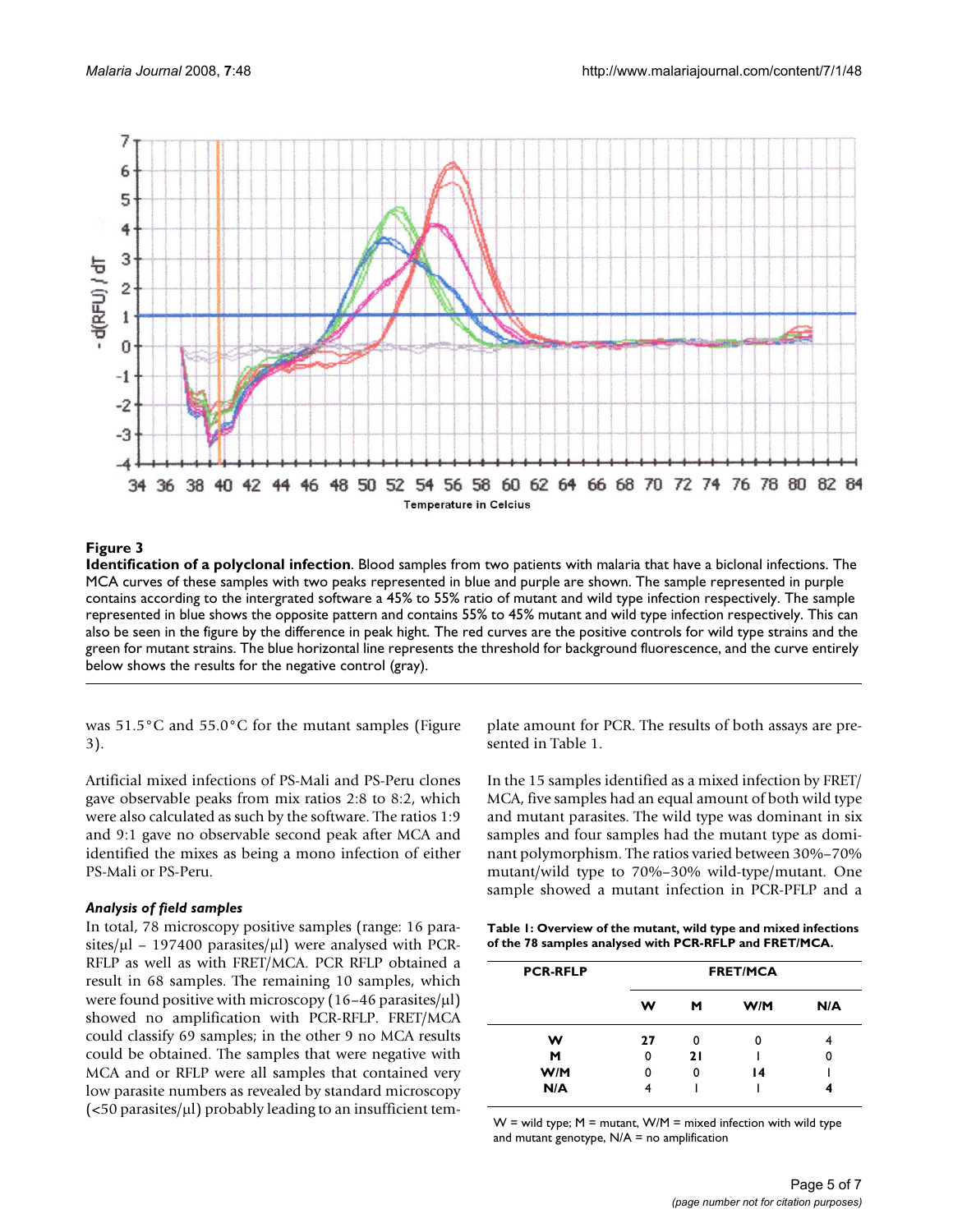

## **Figure 3**

**Identification of a polyclonal infection**. Blood samples from two patients with malaria that have a biclonal infections. The MCA curves of these samples with two peaks represented in blue and purple are shown. The sample represented in purple contains according to the intergrated software a 45% to 55% ratio of mutant and wild type infection respectively. The sample represented in blue shows the opposite pattern and contains 55% to 45% mutant and wild type infection respectively. This can also be seen in the figure by the difference in peak hight. The red curves are the positive controls for wild type strains and the green for mutant strains. The blue horizontal line represents the threshold for background fluorescence, and the curve entirely below shows the results for the negative control (gray).

was 51.5°C and 55.0°C for the mutant samples (Figure 3).

Artificial mixed infections of PS-Mali and PS-Peru clones gave observable peaks from mix ratios 2:8 to 8:2, which were also calculated as such by the software. The ratios 1:9 and 9:1 gave no observable second peak after MCA and identified the mixes as being a mono infection of either PS-Mali or PS-Peru.

### *Analysis of field samples*

In total, 78 microscopy positive samples (range: 16 parasites/ $\mu$ l – 197400 parasites/ $\mu$ l) were analysed with PCR-RFLP as well as with FRET/MCA. PCR RFLP obtained a result in 68 samples. The remaining 10 samples, which were found positive with microscopy (16–46 parasites/μl) showed no amplification with PCR-RFLP. FRET/MCA could classify 69 samples; in the other 9 no MCA results could be obtained. The samples that were negative with MCA and or RFLP were all samples that contained very low parasite numbers as revealed by standard microscopy  $\left($  <50 parasites/ $\mu$ l) probably leading to an insufficient template amount for PCR. The results of both assays are presented in Table 1.

In the 15 samples identified as a mixed infection by FRET/ MCA, five samples had an equal amount of both wild type and mutant parasites. The wild type was dominant in six samples and four samples had the mutant type as dominant polymorphism. The ratios varied between 30%–70% mutant/wild type to 70%–30% wild-type/mutant. One sample showed a mutant infection in PCR-PFLP and a

| Table 1: Overview of the mutant, wild type and mixed infections |  |
|-----------------------------------------------------------------|--|
| of the 78 samples analysed with PCR-RFLP and FRET/MCA.          |  |

| <b>PCR-RFLP</b> | <b>FRET/MCA</b> |    |     |     |
|-----------------|-----------------|----|-----|-----|
|                 | w               | м  | W/M | N/A |
| w               | 27              | 0  | 0   |     |
| м               | 0               | 21 |     | 0   |
| W/M             | 0               | 0  | 14  |     |
| N/A             |                 |    |     |     |

 $W =$  wild type;  $M =$  mutant,  $W/M =$  mixed infection with wild type and mutant genotype,  $N/A =$  no amplification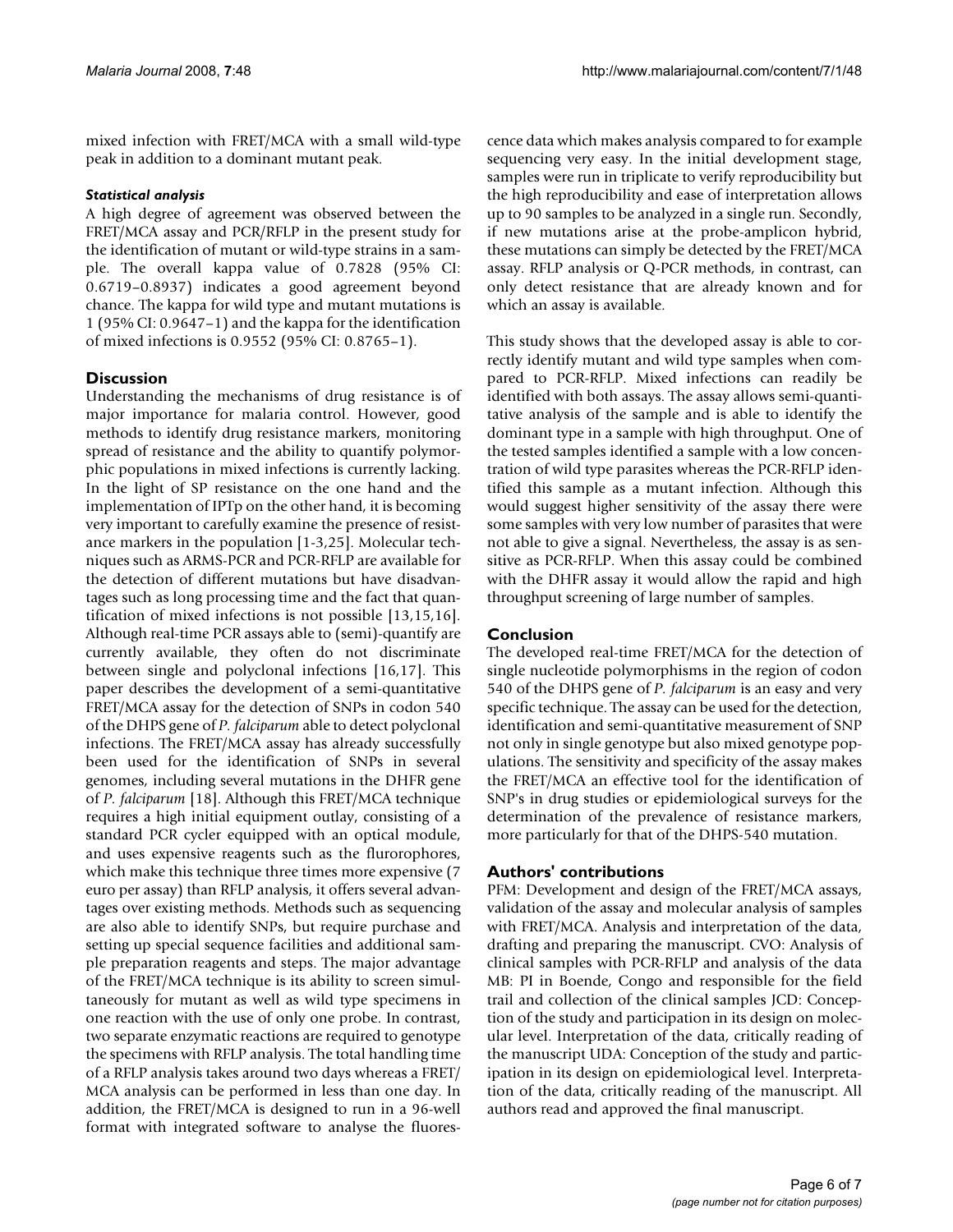mixed infection with FRET/MCA with a small wild-type peak in addition to a dominant mutant peak.

## *Statistical analysis*

A high degree of agreement was observed between the FRET/MCA assay and PCR/RFLP in the present study for the identification of mutant or wild-type strains in a sample. The overall kappa value of 0.7828 (95% CI: 0.6719–0.8937) indicates a good agreement beyond chance. The kappa for wild type and mutant mutations is 1 (95% CI: 0.9647–1) and the kappa for the identification of mixed infections is 0.9552 (95% CI: 0.8765–1).

# **Discussion**

Understanding the mechanisms of drug resistance is of major importance for malaria control. However, good methods to identify drug resistance markers, monitoring spread of resistance and the ability to quantify polymorphic populations in mixed infections is currently lacking. In the light of SP resistance on the one hand and the implementation of IPTp on the other hand, it is becoming very important to carefully examine the presence of resistance markers in the population [1-3,25]. Molecular techniques such as ARMS-PCR and PCR-RFLP are available for the detection of different mutations but have disadvantages such as long processing time and the fact that quantification of mixed infections is not possible [13,15,16]. Although real-time PCR assays able to (semi)-quantify are currently available, they often do not discriminate between single and polyclonal infections [16,17]. This paper describes the development of a semi-quantitative FRET/MCA assay for the detection of SNPs in codon 540 of the DHPS gene of *P. falciparum* able to detect polyclonal infections. The FRET/MCA assay has already successfully been used for the identification of SNPs in several genomes, including several mutations in the DHFR gene of *P. falciparum* [18]. Although this FRET/MCA technique requires a high initial equipment outlay, consisting of a standard PCR cycler equipped with an optical module, and uses expensive reagents such as the flurorophores, which make this technique three times more expensive (7 euro per assay) than RFLP analysis, it offers several advantages over existing methods. Methods such as sequencing are also able to identify SNPs, but require purchase and setting up special sequence facilities and additional sample preparation reagents and steps. The major advantage of the FRET/MCA technique is its ability to screen simultaneously for mutant as well as wild type specimens in one reaction with the use of only one probe. In contrast, two separate enzymatic reactions are required to genotype the specimens with RFLP analysis. The total handling time of a RFLP analysis takes around two days whereas a FRET/ MCA analysis can be performed in less than one day. In addition, the FRET/MCA is designed to run in a 96-well format with integrated software to analyse the fluorescence data which makes analysis compared to for example sequencing very easy. In the initial development stage, samples were run in triplicate to verify reproducibility but the high reproducibility and ease of interpretation allows up to 90 samples to be analyzed in a single run. Secondly, if new mutations arise at the probe-amplicon hybrid, these mutations can simply be detected by the FRET/MCA assay. RFLP analysis or Q-PCR methods, in contrast, can only detect resistance that are already known and for which an assay is available.

This study shows that the developed assay is able to correctly identify mutant and wild type samples when compared to PCR-RFLP. Mixed infections can readily be identified with both assays. The assay allows semi-quantitative analysis of the sample and is able to identify the dominant type in a sample with high throughput. One of the tested samples identified a sample with a low concentration of wild type parasites whereas the PCR-RFLP identified this sample as a mutant infection. Although this would suggest higher sensitivity of the assay there were some samples with very low number of parasites that were not able to give a signal. Nevertheless, the assay is as sensitive as PCR-RFLP. When this assay could be combined with the DHFR assay it would allow the rapid and high throughput screening of large number of samples.

# **Conclusion**

The developed real-time FRET/MCA for the detection of single nucleotide polymorphisms in the region of codon 540 of the DHPS gene of *P. falciparum* is an easy and very specific technique. The assay can be used for the detection, identification and semi-quantitative measurement of SNP not only in single genotype but also mixed genotype populations. The sensitivity and specificity of the assay makes the FRET/MCA an effective tool for the identification of SNP's in drug studies or epidemiological surveys for the determination of the prevalence of resistance markers, more particularly for that of the DHPS-540 mutation.

# **Authors' contributions**

PFM: Development and design of the FRET/MCA assays, validation of the assay and molecular analysis of samples with FRET/MCA. Analysis and interpretation of the data, drafting and preparing the manuscript. CVO: Analysis of clinical samples with PCR-RFLP and analysis of the data MB: PI in Boende, Congo and responsible for the field trail and collection of the clinical samples JCD: Conception of the study and participation in its design on molecular level. Interpretation of the data, critically reading of the manuscript UDA: Conception of the study and participation in its design on epidemiological level. Interpretation of the data, critically reading of the manuscript. All authors read and approved the final manuscript.